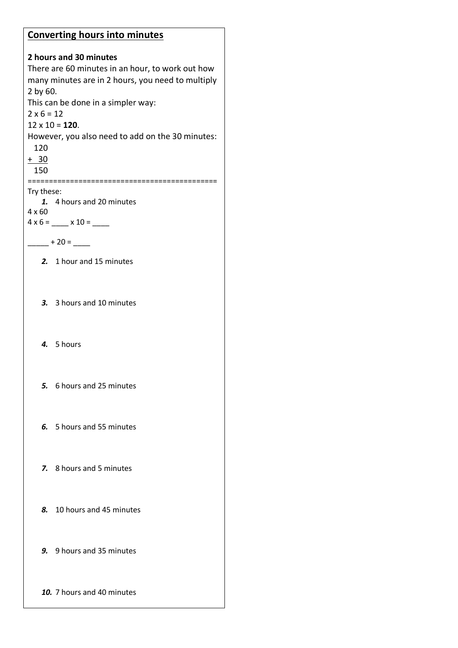| <b>Converting hours into minutes</b>                                                                                                                                                                                                                                                                                                        |
|---------------------------------------------------------------------------------------------------------------------------------------------------------------------------------------------------------------------------------------------------------------------------------------------------------------------------------------------|
| 2 hours and 30 minutes<br>There are 60 minutes in an hour, to work out how<br>many minutes are in 2 hours, you need to multiply<br>2 by 60.<br>This can be done in a simpler way:<br>$2 \times 6 = 12$<br>$12 \times 10 = 120$ .<br>However, you also need to add on the 30 minutes:<br>120<br>$+30$<br>150<br>==================<br>====== |
| Try these:<br>1. 4 hours and 20 minutes<br>$4 \times 60$<br>$4 \times 6 =$ ____ $\times 10 =$ _____                                                                                                                                                                                                                                         |
| $+20=$                                                                                                                                                                                                                                                                                                                                      |
| 2. 1 hour and 15 minutes                                                                                                                                                                                                                                                                                                                    |
| 3. 3 hours and 10 minutes                                                                                                                                                                                                                                                                                                                   |
| 4. 5 hours                                                                                                                                                                                                                                                                                                                                  |
| 5. 6 hours and 25 minutes                                                                                                                                                                                                                                                                                                                   |
| 6. 5 hours and 55 minutes                                                                                                                                                                                                                                                                                                                   |
| 7. 8 hours and 5 minutes                                                                                                                                                                                                                                                                                                                    |
| 8.<br>10 hours and 45 minutes                                                                                                                                                                                                                                                                                                               |
| <b>9.</b> 9 hours and 35 minutes                                                                                                                                                                                                                                                                                                            |
| 10. 7 hours and 40 minutes                                                                                                                                                                                                                                                                                                                  |